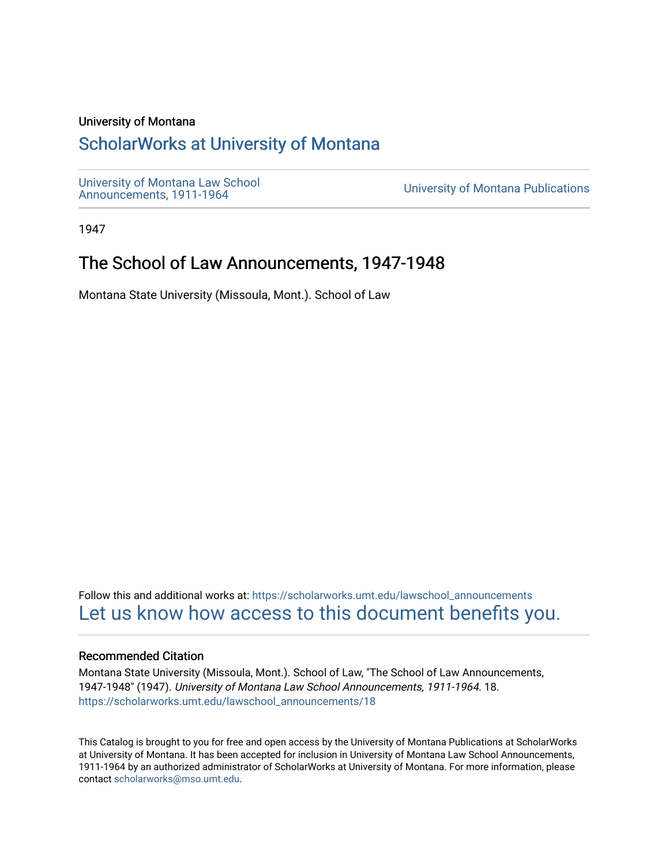# University of Montana

# [ScholarWorks at University of Montana](https://scholarworks.umt.edu/)

[University of Montana Law School](https://scholarworks.umt.edu/lawschool_announcements)<br>Announcements, 1911-1964

**University of Montana Publications** 

1947

# The School of Law Announcements, 1947-1948

Montana State University (Missoula, Mont.). School of Law

Follow this and additional works at: [https://scholarworks.umt.edu/lawschool\\_announcements](https://scholarworks.umt.edu/lawschool_announcements?utm_source=scholarworks.umt.edu%2Flawschool_announcements%2F18&utm_medium=PDF&utm_campaign=PDFCoverPages)  [Let us know how access to this document benefits you.](https://goo.gl/forms/s2rGfXOLzz71qgsB2) 

# Recommended Citation

Montana State University (Missoula, Mont.). School of Law, "The School of Law Announcements, 1947-1948" (1947). University of Montana Law School Announcements, 1911-1964. 18. [https://scholarworks.umt.edu/lawschool\\_announcements/18](https://scholarworks.umt.edu/lawschool_announcements/18?utm_source=scholarworks.umt.edu%2Flawschool_announcements%2F18&utm_medium=PDF&utm_campaign=PDFCoverPages)

This Catalog is brought to you for free and open access by the University of Montana Publications at ScholarWorks at University of Montana. It has been accepted for inclusion in University of Montana Law School Announcements, 1911-1964 by an authorized administrator of ScholarWorks at University of Montana. For more information, please contact [scholarworks@mso.umt.edu](mailto:scholarworks@mso.umt.edu).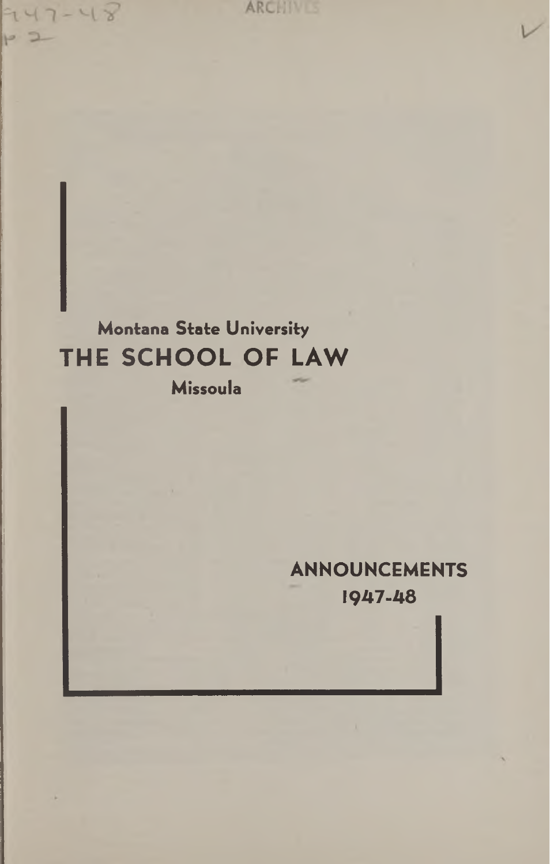

# **ANNOUNCEMENTS 1947-48**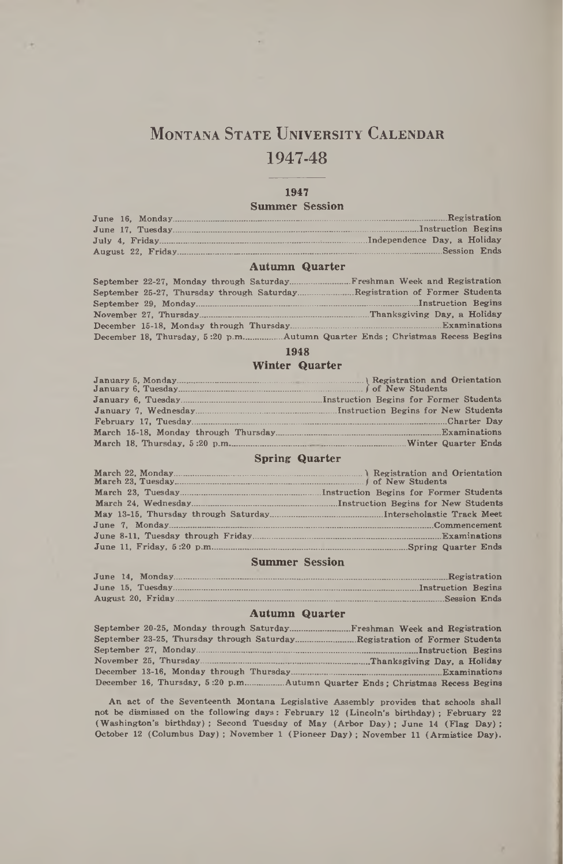# **MONTANA STATE UNIVERSITY CALENDAR** 1947-48

# **1947**

#### **Summer Session**

| 1947-48               |              |
|-----------------------|--------------|
| 1947                  |              |
| <b>Summer Session</b> |              |
|                       |              |
|                       |              |
|                       |              |
|                       | Session Ends |

# **Autumn Quarter**

|                                                                             | Freshman Week and Registration  |
|-----------------------------------------------------------------------------|---------------------------------|
| September 25-27, Thursday through Saturday                                  | Registration of Former Students |
|                                                                             |                                 |
|                                                                             |                                 |
|                                                                             |                                 |
| December 18, Thursday, 5:20 p.mAutumn Quarter Ends; Christmas Recess Begins |                                 |

# **1948**

### **Winter Quarter**

| <b>Spring Quarter</b> |
|-----------------------|
|                       |
|                       |
|                       |
|                       |
|                       |
|                       |

### **Spring Quarter**

| <b>Spring Quarter</b> |
|-----------------------|
|                       |
|                       |
|                       |
|                       |
|                       |
|                       |
|                       |
|                       |

#### **Summer Session**

|  |                    | Registration |
|--|--------------------|--------------|
|  | Instruction Begins |              |
|  | Session Ends       |              |

#### **Autumn Quarter**

| <b>Autumn Quarter</b>                                                       |
|-----------------------------------------------------------------------------|
|                                                                             |
| September 23-25, Thursday through SaturdayRegistration of Former Students   |
|                                                                             |
|                                                                             |
|                                                                             |
| December 16, Thursday, 5:20 p.mAutumn Quarter Ends; Christmas Recess Begins |

An act of the Seventeenth Montana Legislative Assembly provides that schools shall not be dismissed on the following days: February 12 (Lincoln's birthday) ; February 22 (Washington's birthday) ; Second Tuesday of May (Arbor Day) ; June 14 (Flag Day) ; October 12 (Columbus Day) ; November 1 (Pioneer Day) ; November 11 (Armistice Day).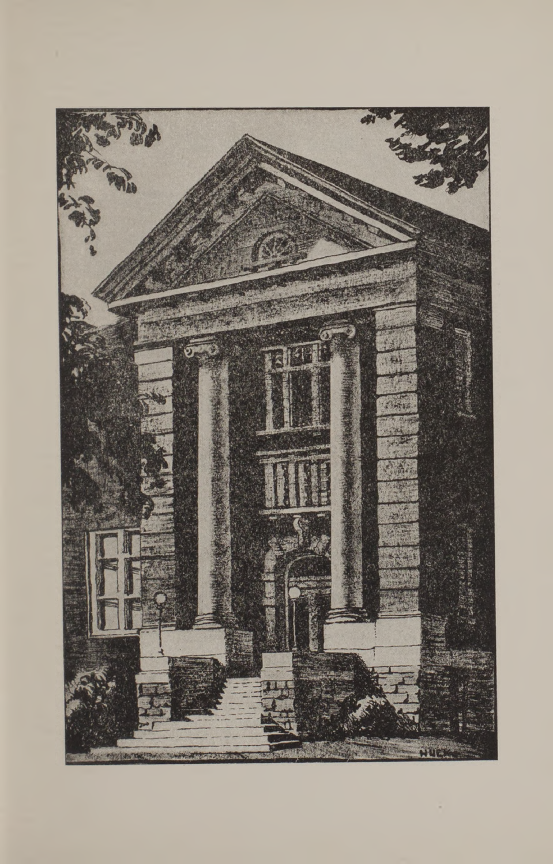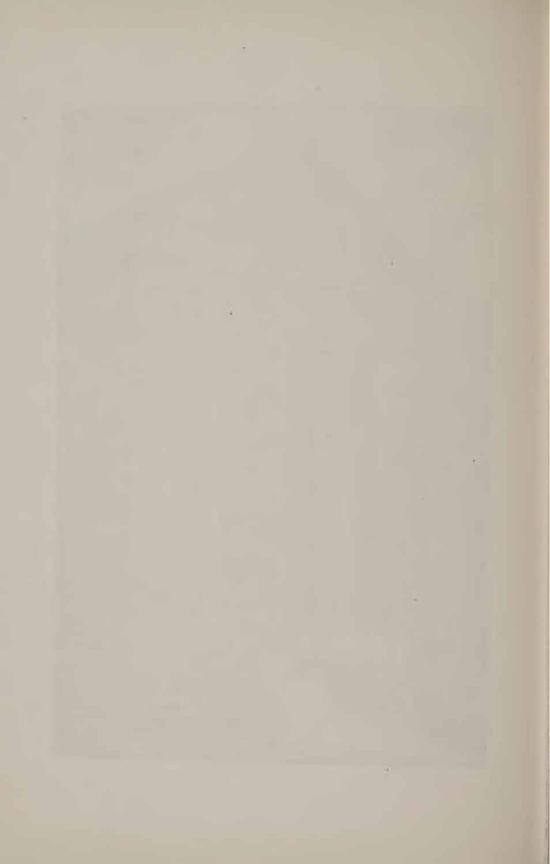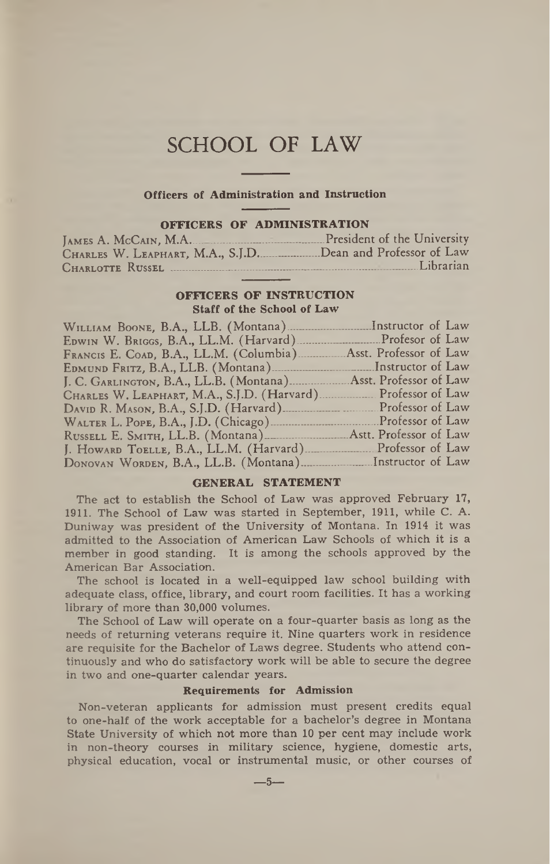# **SCHOOL OF LAW**

# Officers of Administration and Instruction

# OFFICERS OF ADMINISTRATION

President of the University JAMES A. McCAIN, M.A. CHARLES W. LEAPHART, M.A., S.J.D. Dean and Professor of Law Librarian CHARLOTTE RUSSEL

# OFFICERS OF INSTRUCTION **Staff of the School of Law**

| WILLIAM BOONE, B.A., LLB. (Montana)         | Instructor of Law      |
|---------------------------------------------|------------------------|
| Edwin W. Briggs, B.A., LL.M. (Harvard)      | Profesor of Law        |
| FRANCIS E. COAD, B.A., LL.M. (Columbia)     | Asst. Professor of Law |
| EDMUND FRITZ, B.A., LLB. (Montana)          | Instructor of Law.     |
| J. C. GARLINGTON, B.A., LL.B. (Montana).    | Asst. Professor of Law |
| CHARLES W. LEAPHART, M.A., S.J.D. (Harvard) | Professor of Law       |
| David R. Mason, B.A., S.J.D. (Harvard)      | Professor of Law       |
| WALTER L. POPE, B.A., J.D. (Chicago)        | Professor of Law       |
| RUSSELL E. SMITH, LL.B. (Montana)           | Astt. Professor of Law |
| J. Howard Toelle, B.A., LL.M. (Harvard)     | Professor of Law       |
| DONOVAN WORDEN, B.A., L.L.B. (Montana).     | Instructor of Law      |
|                                             |                        |

# **GENERAL STATEMENT**

The act to establish the School of Law was approved February 17, 1911. The School of Law was started in September, 1911, while C. A. Duniway was president of the University of Montana. In 1914 it was admitted to the Association of American Law Schools of which it is a member in good standing. It is among the schools approved by the American Bar Association.

The school is located in a well-equipped law school building with adequate class, office, library, and court room facilities. It has a working library of more than 30,000 volumes.

The School of Law will operate on a four-quarter basis as long as the needs of returning veterans require it. Nine quarters work in residence are requisite for the Bachelor of Laws degree. Students who attend continuously and who do satisfactory work will be able to secure the degree in two and one-quarter calendar years.

#### **Requirements for Admission**

Non-veteran applicants for admission must present credits equal to one-half of the work acceptable for a bachelor's degree in Montana State University of which not more than 10 per cent may include work in non-theory courses in military science, hygiene, domestic arts, physical education, vocal or instrumental music, or other courses of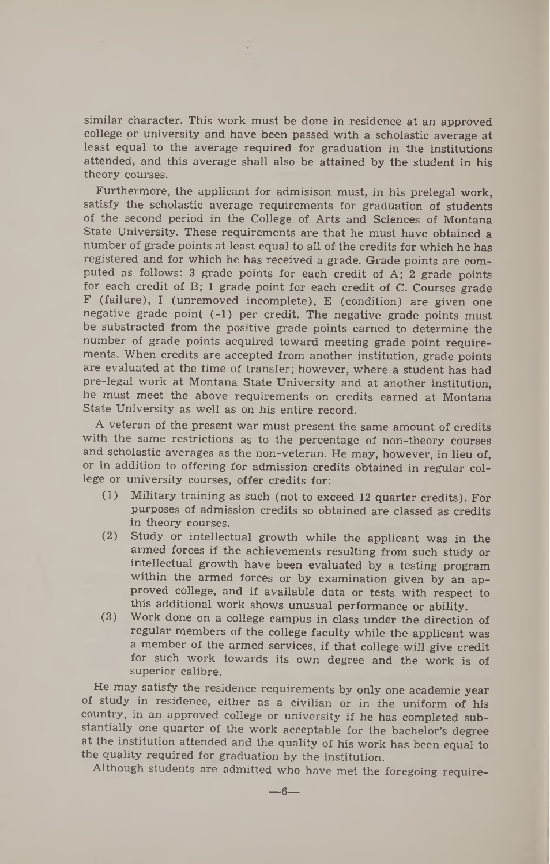similar character. This work must be done in residence at an approved college pr university and have been passed with a scholastic average at least equal to the average required for graduation in the institutions attended, and this average shall also be attained by the student in his theory courses.

Furthermore, the applicant for admisison must, in his prelegal work, satisfy the scholastic average requirements for graduation of students of the second period in the College of Arts and Sciences of Montana State University. These requirements are that he must have obtained a number of grade points at least equal to all of the credits for which he has registered and for which he has received a grade. Grade points are computed as follows: 3 grade points for each credit of A; 2 grade points for each credit of B; <sup>1</sup> grade point for each credit of C. Courses grade F (failure), I (unremoved incomplete), E (condition) are given one negative grade point (-1) per credit. The negative grade points must be substracted from the positive grade points earned to determine the number of grade points acquired toward meeting grade point requirements. When credits are accepted from another institution, grade points are evaluated at the time of transfer; however, where a student has had pre-legal work at Montana State University and at another institution, he must meet the above requirements on credits earned at Montana State University as well as on his entire record.

A veteran of the present war must present the same amount of credits with the same restrictions as to the percentage of non-theory courses and scholastic averages as the non-veteran. He may, however, in lieu of, or in addition to offering for admission credits obtained in regular college or university courses, offer credits for:

- (1) Military training as such (not to exceed 12 quarter credits). For purposes of admission credits so obtained are classed as credits in theory courses.
- (2) Study or intellectual growth while the applicant was in the armed forces if the achievements resulting from such study or intellectual growth have been evaluated by a testing program within the armed forces or by examination given by an approved college, and if available data or tests with respect to this additional work shows unusual performance or ability.
- (3) Work done on a college campus in class under the direction of regular members of the college faculty while the applicant was a member of the armed services, if that college will give credit for such work towards its own degree and the work is of superior calibre.

He may satisfy the residence requirements by only one academic year of study in residence, either as a civilian or in the uniform of his country, in an approved college or university if he has completed substantially one quarter of the work acceptable for the bachelor's degree at the institution attended and the quality of his work has been equal to the quality required for graduation by the institution.

Although students are admitted who have met the foregoing require-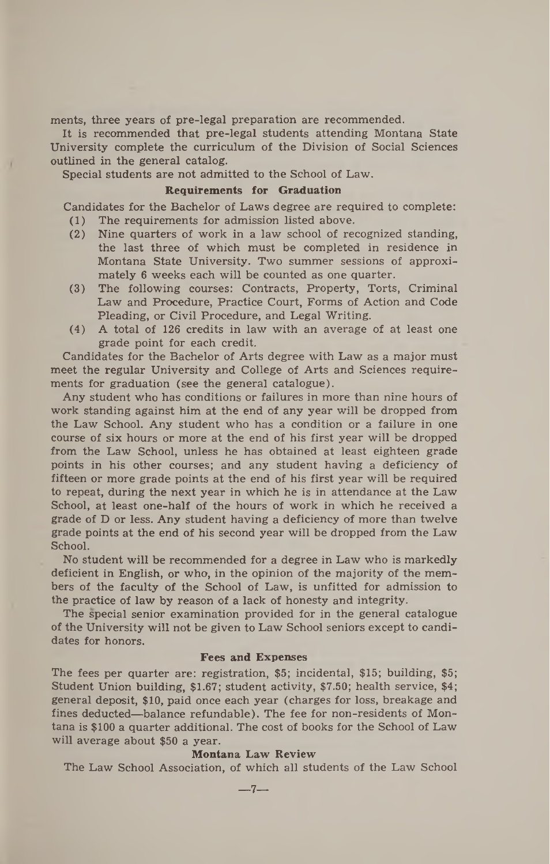merits, three years of pre-legal preparation are recommended.

It is recommended that pre-legal students attending Montana State University complete the curriculum of the Division of Social Sciences outlined in the general catalog.

Special students are not admitted to the School of Law.

### **Requirements for Graduation**

Candidates for the Bachelor of Laws degree are required to complete:

- (1) The requirements for admission listed above.
- (2) Nine quarters of work in a law school of recognized standing, the last three of which must be completed in residence in Montana State University. Two summer sessions of approximately 6 weeks each will be counted as one quarter.
- (3) The following courses: Contracts, Property, Torts, Criminal Law and Procedure, Practice Court, Forms of Action and Code Pleading, or Civil Procedure, and Legal Writing.
- (4) A total of 126 credits in law with an average of at least one grade point for each credit.

Candidates for the Bachelor of Arts degree with Law as a major must meet the regular University and College of Arts and Sciences requirements for graduation (see the general catalogue).

Any student who has conditions or failures in more than nine hours of work standing against him at the end of any year will be dropped from the Law School. Any student who has a condition or a failure in one course of six hours or more at the end of his first year will be dropped from the Law School, unless he has obtained at least eighteen grade points in his other courses; and any student having a deficiency of fifteen or more grade points at the end of his first year will be required to repeat, during the next year in which he is in attendance at the Law School, at least one-half of the hours of work in which he received a grade of D or less. Any student having a deficiency of more than twelve grade points at the end of his second year will be dropped from the Law School.

No student will be recommended for a degree in Law who is markedly deficient in English, or who, in the opinion of the majority of the members of the faculty of the School of Law, is unfitted for admission to the practice of law by reason of a lack of honesty and integrity.

The special senior examination provided for in the general catalogue of the University will not be given to Law School seniors except to candidates for honors.

## **Fees and Expenses**

The fees per quarter are: registration, \$5; incidental, \$15; building, \$5; Student Union building, \$1.67; student activity, \$7.50; health service, \$4; general deposit, \$10, paid once each year (charges for loss, breakage and fines deducted—balance refundable). The fee for non-residents of Montana is \$100 a quarter additional. The cost of books for the School of Law will average about \$50 a year.

#### **Montana Law Review**

The Law School Association, of which all students of the Law School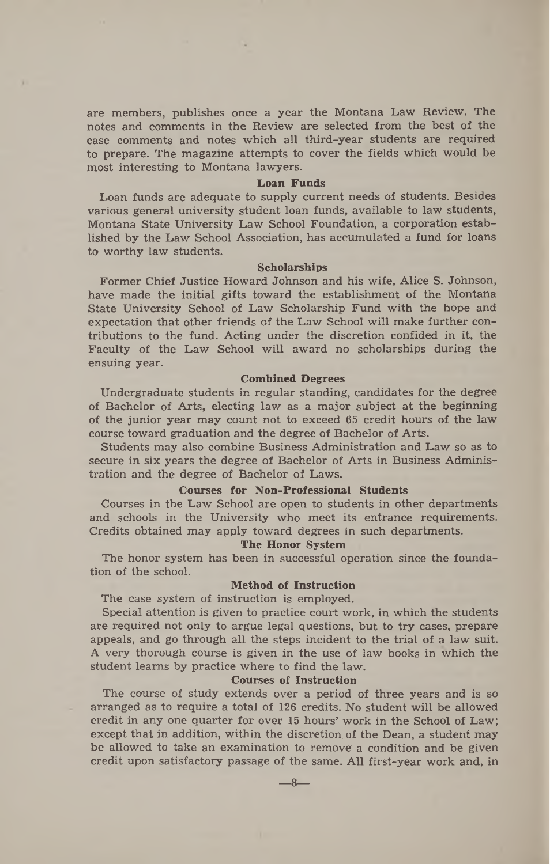are members, publishes once a year the Montana Law Review. The notes and comments in the Review are selected from the best of the case comments and notes which all third-year students are required to prepare. The magazine attempts to cover the fields which would be most interesting to Montana lawyers.

#### **Loan Funds**

Loan funds are adequate to supply current needs of students. Besides various general university student loan funds, available to law students, Montana State University Law School Foundation, a corporation established by the Law School Association, has accumulated a fund for loans to worthy law students.

#### **Scholarships**

Former Chief Justice Howard Johnson and his wife, Alice S. Johnson, have made the initial gifts toward the establishment of the Montana State University School of Law Scholarship Fund with the hope and expectation that other friends of the Law School will make further contributions to the fund. Acting under the discretion confided in it, the Faculty of the Law School will award no scholarships during the ensuing year.

### **Combined Degrees**

Undergraduate students in regular standing, candidates for the degree of Bachelor of Arts, electing law as a major subject at the beginning of the junior year may count not to exceed 65 credit hours of the law course toward graduation and the degree of Bachelor of Arts.

Students may also combine Business Administration and Law so as to secure in six years the degree of Bachelor of Arts in Business Administration and the degree of Bachelor of Laws.

## **Courses for Non-Professional Students**

Courses in the Law School are open to students in other departments and schools in the University who meet its entrance requirements. Credits obtained may apply toward degrees in such departments.

# **The Honor System**

The honor system has been in successful operation since the foundation of the school.

### **Method of Instruction**

The case system of instruction is employed.

Special attention is given to practice court work, in which the students are required not only to argue legal questions, but to try cases, prepare appeals, and go through all the steps incident to the trial of a law suit. A very thorough course is given in the use of law books in which the student learns by practice where to find the law.

#### **Courses of Instruction**

The course of study extends over a period of three years and is so arranged as to require a total of 126 credits. No student will be allowed credit in any one quarter for over 15 hours' work in the School of Law; except that in addition, within the discretion, of the Dean, a student may be allowed to take an examination to remove a condition and be given credit upon satisfactory passage of the same. All first-year work and, in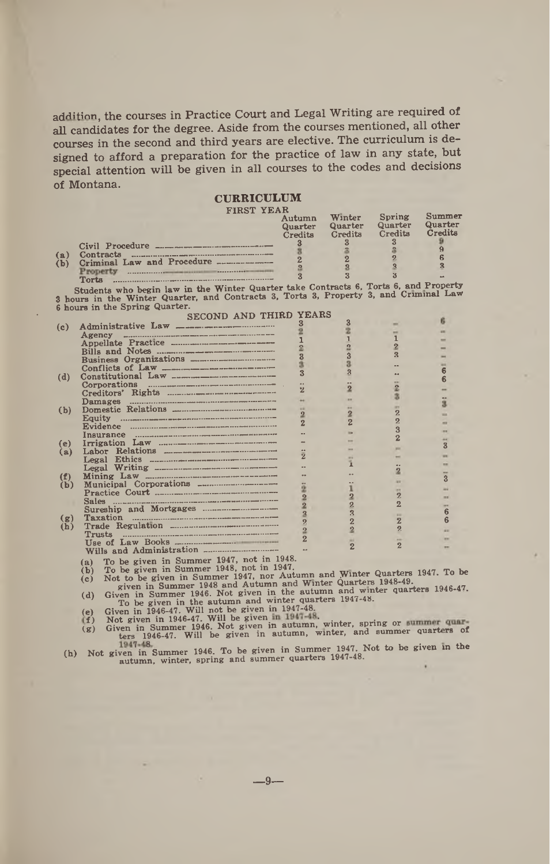addition, the courses in Practice Court and Legal Writing are required of all candidates for the degree. Aside from the courses mentioned, all other courses in the second and third years are elective. The curriculum is designed to afford a preparation for the practice of law in any state, but special attention will be given in all courses to the codes and decisions of Montana.

# **CURRICULUM**

|     | <b>FIRST YEAR</b>                                                                     |                         |                         |                              |              |
|-----|---------------------------------------------------------------------------------------|-------------------------|-------------------------|------------------------------|--------------|
|     |                                                                                       | Autumn                  | Winter                  | Spring                       | Summer       |
|     |                                                                                       | Quarter                 | Quarter                 | Quarter                      | Quarter      |
|     |                                                                                       | Credits                 | Credits                 | Credits                      | Credits      |
|     |                                                                                       | 3                       | 3                       | $\mathbf{3}$                 | 9            |
|     |                                                                                       |                         |                         |                              | Q            |
| (a) | Criminal Law and Procedure                                                            |                         | $\overline{2}$          |                              | б            |
| (b) |                                                                                       |                         | $\overline{2}$          | ä                            | $\mathbf{R}$ |
|     | Property <b>Example 2018</b><br>Torts                                                 | $\overline{\mathbf{3}}$ | $\overline{\mathbf{3}}$ | 3                            |              |
|     | Students who begin law in the Winter Quarter take Contracts 6, Torts 6, and Property  |                         |                         |                              |              |
|     | 3 hours in the Winter Quarter, and Contracts 3, Torts 3, Property 3, and Criminal Law |                         |                         |                              |              |
|     | 6 hours in the Spring Quarter.                                                        |                         |                         |                              |              |
|     | SECOND AND THIRD YEARS                                                                |                         |                         |                              |              |
| (c) |                                                                                       |                         | 3                       |                              |              |
|     | Agency                                                                                |                         |                         |                              |              |
|     |                                                                                       |                         |                         |                              |              |
|     |                                                                                       |                         |                         | $\overline{2}$               |              |
|     |                                                                                       |                         | $\overline{\mathbf{3}}$ | $\mathbf{R}$                 |              |
|     |                                                                                       |                         | 3                       |                              | m            |
| (d) |                                                                                       | $\overline{\mathbf{3}}$ | $\overline{\mathbf{a}}$ |                              | 6            |
|     |                                                                                       |                         |                         |                              | 6            |
|     |                                                                                       | 2                       | $\mathbf{Q}$            |                              |              |
|     |                                                                                       | ÷.                      |                         |                              |              |
|     |                                                                                       | <b>A</b>                |                         |                              | я            |
| (b) |                                                                                       | $\overline{2}$          | $\overline{\bf 2}$      | $\overline{2}$               |              |
|     |                                                                                       |                         | $\overline{2}$          | $\overline{2}$               | m            |
|     | Evidence                                                                              |                         |                         | 3                            |              |
|     |                                                                                       |                         |                         | $\overline{2}$               | ٠            |
| (e) |                                                                                       |                         |                         |                              | 3            |
| (a) |                                                                                       |                         |                         |                              |              |
|     |                                                                                       |                         |                         |                              |              |
|     |                                                                                       |                         |                         | $\overline{2}$               |              |
| (1) |                                                                                       |                         |                         | ÷                            | 3            |
| (b) | Municipal Corporations ___________________                                            |                         |                         |                              |              |
|     |                                                                                       |                         | $\overline{2}$          | <b>HOME</b><br>$\mathcal{P}$ |              |
|     |                                                                                       | $\frac{2}{2}$           | $\overline{2}$          | $\overline{2}$               |              |
|     |                                                                                       | $\overline{\mathbf{2}}$ | $\overline{3}$          |                              | 6            |
| (g) |                                                                                       | $\overline{2}$          | $\overline{2}$          | au.<br>$\overline{2}$        |              |
|     |                                                                                       |                         |                         | $\overline{2}$               |              |
|     |                                                                                       | ŋ                       | $\overline{2}$          |                              |              |
| (h) |                                                                                       |                         |                         |                              |              |
|     | Trusts                                                                                |                         | as.<br>$\overline{2}$   | $\mathcal{D}$                |              |

(a) To be given in Summer 1947, not in 1948.<br>
(b) To be given in Summer 1948, not in 1947.<br>
(c) Not to be given in Summer 1947, nor Autumn and Winter Quarters 1947. To be<br>
(c) Not to be given in Summer 1948 and Autumn and

To be given in the autumn and winter quarters 1947-48. (e) Given in 1946-47. Will not be given in 1947-48. ziven in Summer 1946 and Autumn and Winter Quarters 1948-49.<br>
(d) Given in Summer 1946. Not given in the autumn and winter quarters 1946-47.<br>
(e) To be given in the autumn and winter quarters 1947-48.<br>
(e) Given in 1946-47

 $\frac{1947.18}{(h)}$  Not given in Summer 1947. Not to be given in the

autumn, winter, spring and summer quarters 1947-48.

—9—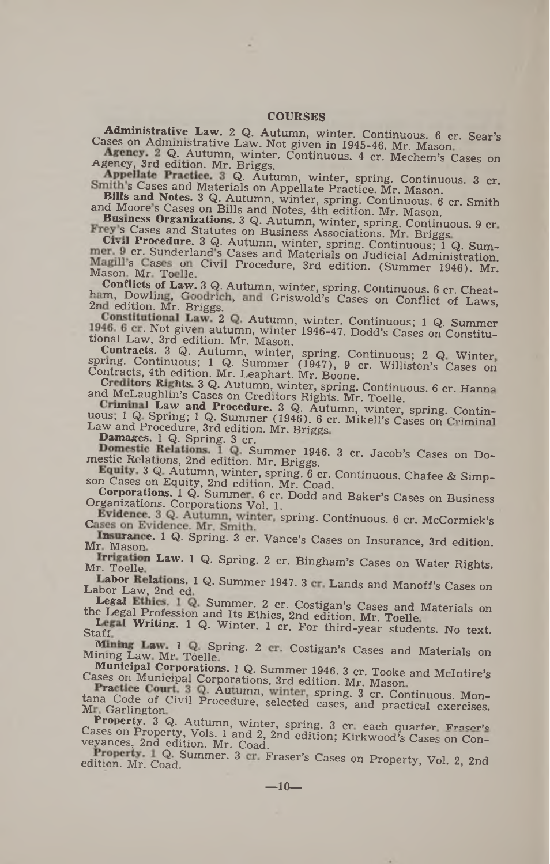### **COURSES**

Administrative Law. 2 Q. Autumn, winter. Continuous. 6 cr. Sear's Cases on Administrative Law. Not given in 1945-46. Mr. Mason.

Agency, 2 Q. Autumn, winter. Continuous. 4 cr. Mechem's Cases on Agency, 3rd edition. Mr. Briggs.

Appellate Practice. 3 Q. Autumn, winter, spring. Continuous. 3 cr. Smith's Cases and Materials on Appellate Practice. Mr. Mason.

Bills and Notes. 3 Q. Autumn, winter, spring. Continuous. 6 cr. Smith<br>and Moore's Cases on Bills and Notes, 4th edition. Mr. Mason.

Business Organizations. 3 Q. Autumn, winter, spring. Continuous. 9 cr. Frey's Cases and Statutes on Business Associations. Mr. Briggs,

Civil Procedure. 3 Q. Autumn, winter, spring. Continuous; 1 Q. Summer. 9 cr. Sunderland's Cases and Materials on Judicial Administration.<br>Magill's Cases on Civil Procedure, 3rd edition. (Summer 1946). Mr. Mason. Mr Toelle.

Conflicts of Law. 3 Q. Autumn, winter, spring. Continuous. 6 cr. Cheatham, Dowling, Goodrich, and Griswold's Cases on Conflict of Laws, 2nd edition. Mr. Briggs.

Constitutional Law. 2 Q. Autumn, winter. Continuous; 1 Q. Summer<br>1946. 6 cr. Not given autumn, winter 1946-47. Dodd's Cases on Constitutional Law, 3rd edition. Mr. Mason.

Contracts. 3 Q. Autumn, winter, spring. Continuous; 2 Q. Winter, spring. Continuous; 1 Q. Summer (1947), 9 cr. Williston's Cases on Contracts, 4th edition. Mr. Leaphart. Mr. Boone.

Creditors Rights. 3 Q. Autumn, winter, spring. Continuous. 6 cr. Hanna<br>and McLaughlin's Cases on Creditors Rights. Mr. Toelle.

Criminal Law and Procedure. 3 Q. Autumn, winter, spring. Continuous; 1 Q. Spring; 1 Q. Summer (1946). 6 cr. Mikell's Cases on Criminal Law and Procedure, 3rd edition. Mr. Briggs

Damages. 1 Q. Spring. 3 cr.

Domestic Relations. 1 Q. Summer 1946. 3 cr. Jacob's Cases on Domestic Relations, 2nd edition. Mr. Briggs.

Equity, 3 Q. Autumn, winter, spring. 6 cr. Continuous. Chafee & Simp-

son Cases on Equity, 2nd edition. Mr. Coad.<br>Corporations. 1 Q. Summer 6 cr. Dodd and Baker's Cases on Business<br>Organizations. Corporations Vol. 1.

Evidence. 3 Q. Autumn, winter, spring. Continuous. 6 cr. McCormick's Cases on Evidence. Mr. Smith.

Insurance. 1 Q. Spring. 3 cr. Vance's Cases on Insurance, 3rd edition. Mr. Mason.

Irrigation Law. 1 Q. Spring. 2 cr. Bingham's Cases on Water Rights. Mr. Toelle.

Labor Relations. 1 Q. Summer 1947. 3 cr. Lands and Manoff's Cases on Labor Law, 2nd ed.

Legal Ethics, 1 Q. Summer. 2 cr. Costigan's Cases and Materials on the Legal Profession and Its Ethics, 2nd edition. Mr. Toelle

Legal Writing. 1 Q. Winter. 1 cr. For third-year students. No text. Staff

Mining Law. 1 Q. Spring. 2 cr. Costigan's Cases and Materials on Mining Law Mr Toelle

Municipal Corporations. 1 Q. Summer 1946. 3 cr. Tooke and McIntire's Cases on Municipal Corporations, 3rd edition. Mr. Mason.

Practice Court. 3 Q. Autumn, winter, spring. 3 cr. Continuous. Montana Code of Civil Procedure, selected cases, and practical exercises.

Property. 3 Q. Autumn, winter, spring. 3 cr. each quarter. Fraser's Cases on Property, Vols. 1 and 2, 2nd edition; Kirkwood's Cases on Conveyances, 2nd edition. Mr. Coad.

Property. 1 Q. Summer. 3 or Fraser's Cases on Property, Vol. 2, 2nd edition. Mr. Coad.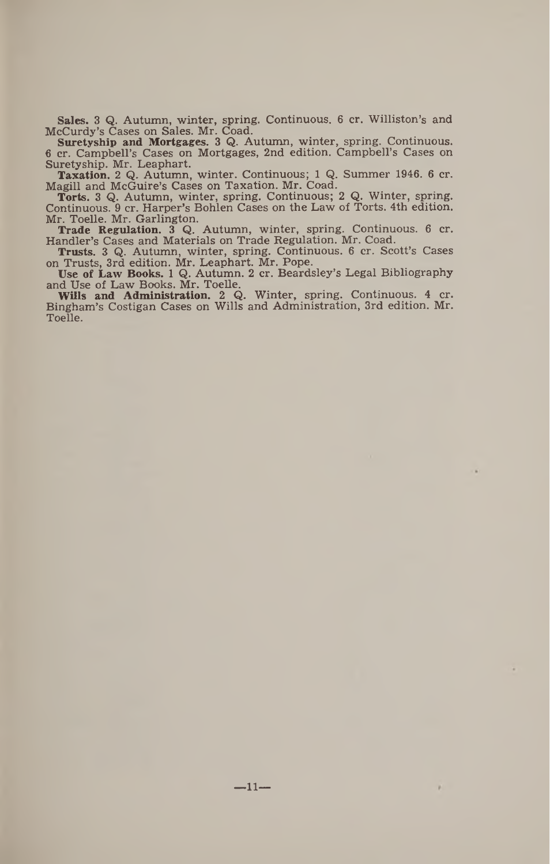**Sales.** 3 Q. Autumn, winter, spring. Continuous. 6 cr. Williston's and McCurdy's Cases on Sales. Mr. Coad.

**Suretyship and Mortgages.** 3 Q. Autumn, winter, spring. Continuous. 6 cr. Campbell's Cases on Mortgages, 2nd edition. Campbell's Cases on Suretyship. Mr. Leaphart.

**Taxation.** 2 Q. Autumn, winter. Continuous; <sup>1</sup> Q. Summer 1946. 6 cr. Magill and McGuire's Cases on Taxation. Mr. Coad.

**Torts.** 3 Q. Autumn, winter, spring. Continuous; 2 Q. Winter, spring. Continuous. 9 cr. Harper's Bohlen Cases on the Law of Torts. 4th edition.

Mr. Toelle. Mr. Garlington. **Trade Regulation.** 3 Q. Autumn, winter, spring. Continuous. 6 cr. Handler's Cases and Materials on Trade Regulation. Mr. Coad.

**Trusts.** 3 Q. Autumn, winter, spring. Continuous. 6 cr. Scott's Cases on Trusts, 3rd edition. Mr. Leaphart. Mr. Pope.

**Use of Law Books.** <sup>1</sup> Q. Autumn. 2 cr. Beardsley's Legal Bibliography and Use of Law Books. Mr. Toelle.

**Wills and Administration.** 2 Q. Winter, spring. Continuous. 4 cr. Bingham's Costigan Cases on Wills and Administration, 3rd edition. Mr. Toelle.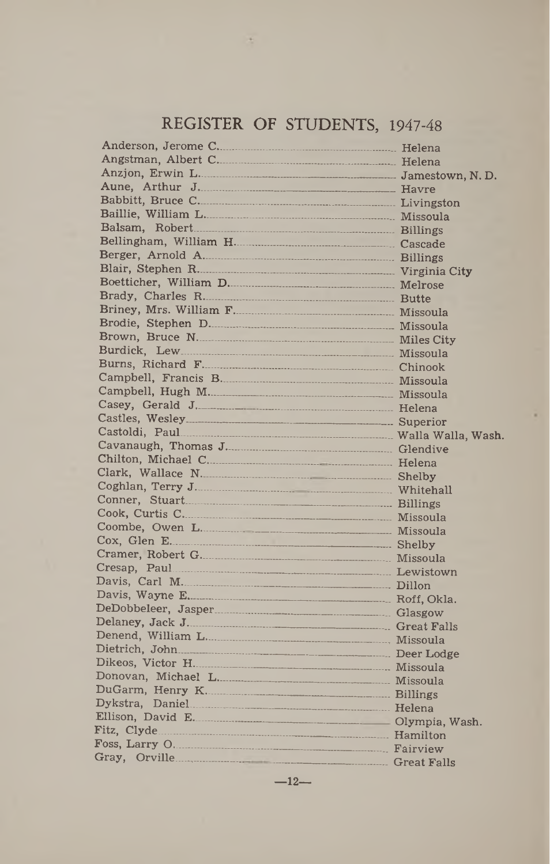# REGISTER OF STUDENTS, 1947-48

 $\rightarrow$ 

| Aune, Arthur J. Barnett March Havre                                                                                    |  |
|------------------------------------------------------------------------------------------------------------------------|--|
|                                                                                                                        |  |
|                                                                                                                        |  |
|                                                                                                                        |  |
|                                                                                                                        |  |
|                                                                                                                        |  |
|                                                                                                                        |  |
|                                                                                                                        |  |
| Brady, Charles R. 2000 and Butter Butte                                                                                |  |
|                                                                                                                        |  |
| Brodie, Stephen D. 2000 Missoula                                                                                       |  |
| Brown, Bruce N. 2008 and Miles City                                                                                    |  |
|                                                                                                                        |  |
| Burns, Richard F. Communication of the Chinook                                                                         |  |
| Campbell, Francis B. 6. 2006 and Missoula                                                                              |  |
|                                                                                                                        |  |
|                                                                                                                        |  |
|                                                                                                                        |  |
|                                                                                                                        |  |
| Cavanaugh, Thomas J. 2000 and Clendive                                                                                 |  |
|                                                                                                                        |  |
| Clark, Wallace N. Clark Shelby                                                                                         |  |
| Coghlan, Terry J. Coghlan, Terry J.                                                                                    |  |
|                                                                                                                        |  |
| Cook, Curtis C. Communication of Missoula                                                                              |  |
|                                                                                                                        |  |
| Cox, Glen E. Shelby                                                                                                    |  |
|                                                                                                                        |  |
| Cresap, Paul Lewistown                                                                                                 |  |
| Davis, Carl M. 2008 and M. 2011 and Dillon                                                                             |  |
| Davis, Wayne E. Same Communication and Roff, Okla.                                                                     |  |
|                                                                                                                        |  |
| Delaney, Jack J. Creat Falls                                                                                           |  |
|                                                                                                                        |  |
|                                                                                                                        |  |
| Dikeos, Victor H. 2000 Missoula                                                                                        |  |
|                                                                                                                        |  |
| DuGarm, Henry K. Sandwich and Billings                                                                                 |  |
| Dykstra, Daniel                                                                                                        |  |
| Ellison, David E. Champion Clympia, Wash.                                                                              |  |
| Fitz, Clyde                                                                                                            |  |
| Foss, Larry O. 2008. The Prince of Pairview Pairview Pairview                                                          |  |
|                                                                                                                        |  |
| <u> De Carlos de Carlos de Carlos de Carlos de Carlos de Carlos de Carlos de Carlos de Carlos de Carlos de Carlos </u> |  |

 $-12-$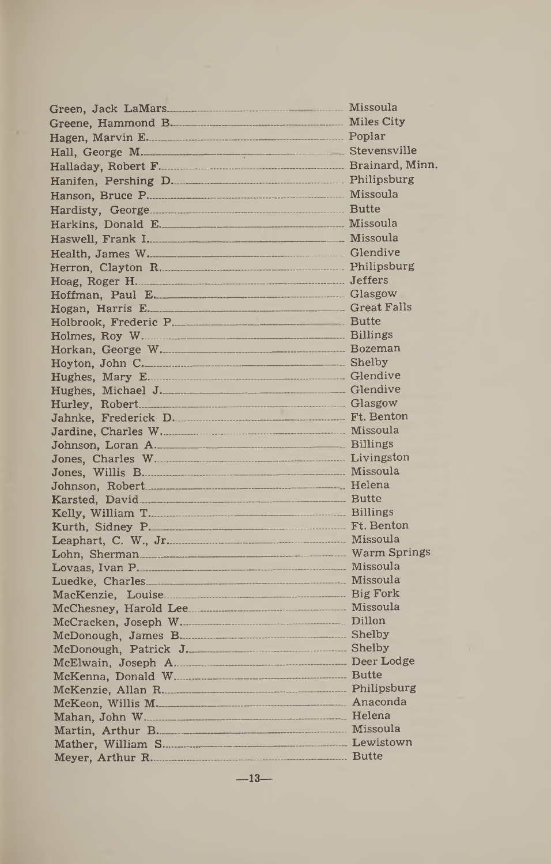| Hall, George M. Contract Manual Contract of Stevensville                                                                                                                                                                       |  |
|--------------------------------------------------------------------------------------------------------------------------------------------------------------------------------------------------------------------------------|--|
| Halladay, Robert F. The Manuscript Brainard, Minn.                                                                                                                                                                             |  |
|                                                                                                                                                                                                                                |  |
|                                                                                                                                                                                                                                |  |
|                                                                                                                                                                                                                                |  |
|                                                                                                                                                                                                                                |  |
|                                                                                                                                                                                                                                |  |
|                                                                                                                                                                                                                                |  |
| Herron, Clayton R. 2000 and Contract Philipsburg                                                                                                                                                                               |  |
|                                                                                                                                                                                                                                |  |
|                                                                                                                                                                                                                                |  |
|                                                                                                                                                                                                                                |  |
| Holbrook, Frederic P. 2008 . Extra Butte                                                                                                                                                                                       |  |
| Holmes, Roy W. Contract Manual Manual Medicines, Billings                                                                                                                                                                      |  |
|                                                                                                                                                                                                                                |  |
|                                                                                                                                                                                                                                |  |
| Hughes, Mary E. S. E. And M. Barnett, M. Clendive                                                                                                                                                                              |  |
| Hughes, Michael J. [10] Glendive                                                                                                                                                                                               |  |
|                                                                                                                                                                                                                                |  |
| Jahnke, Frederick D. 2000 Ft. Benton                                                                                                                                                                                           |  |
|                                                                                                                                                                                                                                |  |
| Johnson, Loran A. 2000 and A. 2000 and Billings                                                                                                                                                                                |  |
|                                                                                                                                                                                                                                |  |
| Jones, Willis B. Sandwicker and Missoula                                                                                                                                                                                       |  |
|                                                                                                                                                                                                                                |  |
|                                                                                                                                                                                                                                |  |
| Kelly, William T. Committee Committee Committee Billings                                                                                                                                                                       |  |
|                                                                                                                                                                                                                                |  |
| Leaphart, C. W., Jr. 7. 2008. [1] Missoula                                                                                                                                                                                     |  |
|                                                                                                                                                                                                                                |  |
| Lovaas, Ivan P. 2000 - 2000 - 2000 - 2010 - 2010 - 2010 - 2010 - 2010 - 2010 - 2010 - 2010 - 2010 - 2010 - 20                                                                                                                  |  |
|                                                                                                                                                                                                                                |  |
|                                                                                                                                                                                                                                |  |
|                                                                                                                                                                                                                                |  |
|                                                                                                                                                                                                                                |  |
| McDonough, James B. Sammer and Shelby                                                                                                                                                                                          |  |
| McDonough, Patrick J.                                                                                                                                                                                                          |  |
| McElwain, Joseph A. 2008. A. 2009. Deer Lodge                                                                                                                                                                                  |  |
| McKenna, Donald W.                                                                                                                                                                                                             |  |
| McKenzie, Allan R. 2008. 2008. Philipsburg                                                                                                                                                                                     |  |
| McKeon, Willis M. Communication and Anaconda                                                                                                                                                                                   |  |
| Mahan, John W. 2008 (2010) 2010 2010 21:30 22:30 23:30 24:30 25:30 25:30 25:30 25:30 25:30 25:30 25:30 25:30 25:30 25:30 25:30 25:30 25:30 25:30 25:30 25:30 25:30 25:30 25:30 25:30 25:30 25:30 25:30 25:30 25:30 25:30 25:30 |  |
| Martin, Arthur B. Sandwicker Missoula                                                                                                                                                                                          |  |
| Mather, William S. Sandwich and Superintendent Lewistown                                                                                                                                                                       |  |
| Meyer, Arthur R.                                                                                                                                                                                                               |  |

 $-13-$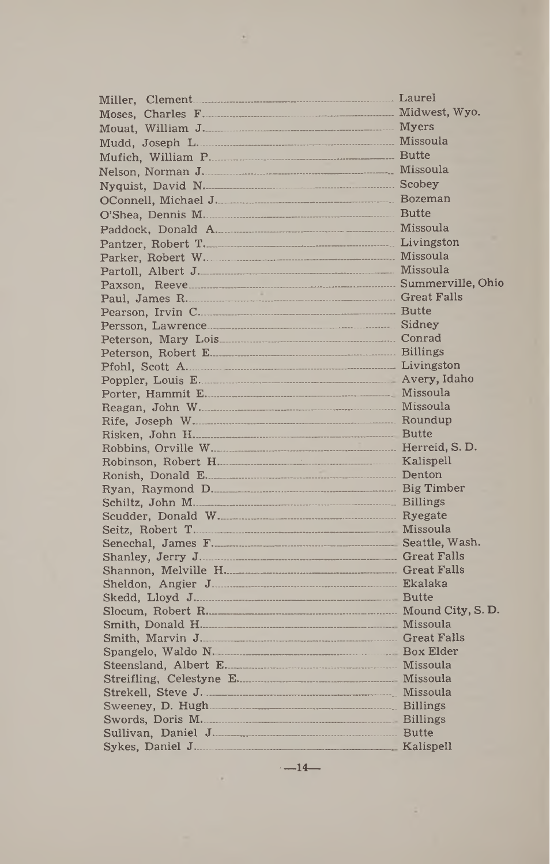| Moses, Charles F. F. Entertainment and Midwest, Wyo.                                               |  |
|----------------------------------------------------------------------------------------------------|--|
| Mouat, William J. The Milliam Strategy of Myers                                                    |  |
|                                                                                                    |  |
|                                                                                                    |  |
|                                                                                                    |  |
| Nyquist, David N. 1994 - Scobey                                                                    |  |
|                                                                                                    |  |
| O'Shea, Dennis M.                                                                                  |  |
|                                                                                                    |  |
|                                                                                                    |  |
| Parker, Robert W. <b>Missoula</b>                                                                  |  |
|                                                                                                    |  |
|                                                                                                    |  |
|                                                                                                    |  |
|                                                                                                    |  |
|                                                                                                    |  |
|                                                                                                    |  |
|                                                                                                    |  |
|                                                                                                    |  |
| Poppler, Louis E. Sandwich and Avery, Idaho                                                        |  |
| Porter, Hammit E. Missoula                                                                         |  |
| Reagan, John W. Chambread and Missoula                                                             |  |
| Rife, Joseph W. Charles and Roundup                                                                |  |
|                                                                                                    |  |
| Robbins, Orville W. Charles and Marian Herreid, S. D.                                              |  |
| Robinson, Robert H. Martin Martin Marshall Kalispell                                               |  |
| Ronish, Donald E. 2008. Enter the Denton Denton                                                    |  |
| Ryan, Raymond D. D. Engines and D. Allen Big Timber                                                |  |
| Schiltz, John M. 2000 M. 2000 Millings                                                             |  |
| Scudder, Donald W. The Manuscript Ryegate                                                          |  |
| Seitz, Robert T. Seitz, Missoula                                                                   |  |
| Senechal, James F. France and Seattle, Wash.                                                       |  |
|                                                                                                    |  |
|                                                                                                    |  |
|                                                                                                    |  |
| Slocum, Robert R. [10] Mound City, S. D.                                                           |  |
|                                                                                                    |  |
|                                                                                                    |  |
| Spangelo, Waldo N. Spangelo, Waldo N. Spangelo, Waldo N. Spangelo, Waldo N. Spangelo, W. Box Elder |  |
|                                                                                                    |  |
| Streifling, Celestyne E. 5. 2008. Missoula                                                         |  |
|                                                                                                    |  |
|                                                                                                    |  |
|                                                                                                    |  |
|                                                                                                    |  |
|                                                                                                    |  |
|                                                                                                    |  |

 $-14-$ 

×